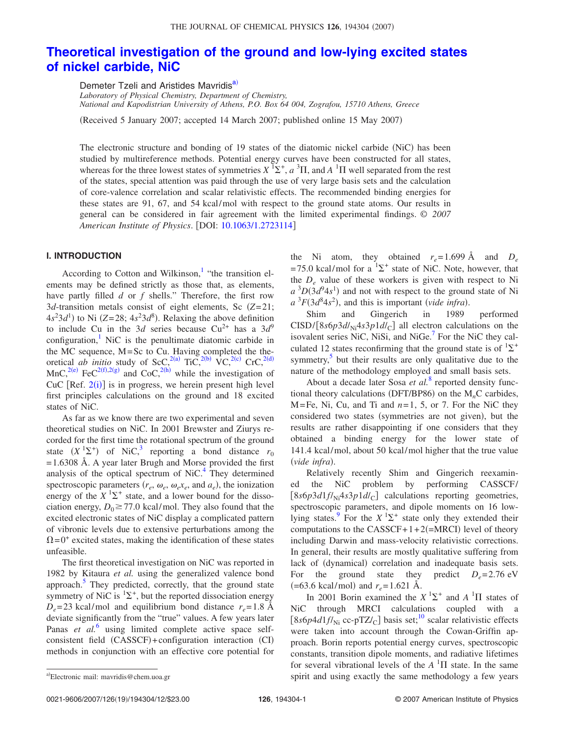# **[Theoretical investigation of the ground and low-lying excited states](http://dx.doi.org/10.1063/1.2723114) [of nickel carbide, NiC](http://dx.doi.org/10.1063/1.2723114)**

Demeter Tzeli and Aristides Mavridis<sup>a)</sup>

*Laboratory of Physical Chemistry, Department of Chemistry, National and Kapodistrian University of Athens, P.O. Box 64 004, Zografou, 15710 Athens, Greece*

(Received 5 January 2007; accepted 14 March 2007; published online 15 May 2007)

The electronic structure and bonding of 19 states of the diatomic nickel carbide (NiC) has been studied by multireference methods. Potential energy curves have been constructed for all states, whereas for the three lowest states of symmetries  $X$   ${}^{1}\Sigma^{+}$ ,  $a$   ${}^{3}\Pi$ , and  $A$   ${}^{1}\Pi$  well separated from the rest of the states, special attention was paid through the use of very large basis sets and the calculation of core-valence correlation and scalar relativistic effects. The recommended binding energies for these states are 91, 67, and 54 kcal/mol with respect to the ground state atoms. Our results in general can be considered in fair agreement with the limited experimental findings. © *2007 American Institute of Physics*. DOI: [10.1063/1.2723114](http://dx.doi.org/10.1063/1.2723114)

### **I. INTRODUCTION**

According to Cotton and Wilkinson,<sup>1</sup> "the transition elements may be defined strictly as those that, as elements, have partly filled *d* or *f* shells." Therefore, the first row 3*d*-transition metals consist of eight elements, Sc *Z*= 21;  $4s^23d^1$ ) to Ni (Z=28;  $4s^23d^8$ ). Relaxing the above definition to include Cu in the 3*d* series because Cu<sup>2+</sup> has a  $3d^9$ configuration, $\frac{1}{1}$  NiC is the penultimate diatomic carbide in the MC sequence, M=Sc to Cu. Having completed the theoretical *ab initio* study of ScC,<sup>2(a)</sup> TiC,<sup>2(b)</sup> VC,<sup>2(c)</sup> CrC,<sup>2(d)</sup> MnC,<sup>2(e)</sup> FeC<sup>2(f)</sup>[,2](#page-11-5)(g) and CoC,<sup>2(h)</sup> while the investigation of CuC  $[Ref. 2(i)]$  $[Ref. 2(i)]$  $[Ref. 2(i)]$  is in progress, we herein present high level first principles calculations on the ground and 18 excited states of NiC.

As far as we know there are two experimental and seven theoretical studies on NiC. In 2001 Brewster and Ziurys recorded for the first time the rotational spectrum of the ground state  $(X^1\Sigma^+)$  of NiC,<sup>3</sup> reporting a bond distance  $r_0$  $= 1.6308$  Å. A year later Brugh and Morse provided the first analysis of the optical spectrum of  $NiC<sup>4</sup>$ . They determined spectroscopic parameters  $(r_e, \omega_e, \omega_e x_e, \text{ and } a_e)$ , the ionization energy of the  $X$ <sup>1</sup> $\Sigma$ <sup>+</sup> state, and a lower bound for the dissociation energy,  $D_0 \ge 77.0$  kcal/mol. They also found that the excited electronic states of NiC display a complicated pattern of vibronic levels due to extensive perturbations among the  $\Omega = 0^+$  excited states, making the identification of these states unfeasible.

The first theoretical investigation on NiC was reported in 1982 by Kitaura *et al.* using the generalized valence bond approach.<sup>5</sup> They predicted, correctly, that the ground state symmetry of NiC is  ${}^{1}\Sigma^{+}$ , but the reported dissociation energy  $D_e = 23$  kcal/mol and equilibrium bond distance  $r_e = 1.8$  Å deviate significantly from the "true" values. A few years later Panas *et al.*<sup>[6](#page-11-9)</sup> using limited complete active space selfconsistent field (CASSCF)+configuration interaction (CI) methods in conjunction with an effective core potential for

the Ni atom, they obtained  $r_e = 1.699 \text{ Å}$  and  $D_e$  $= 75.0$  kcal/mol for a  ${}^{1}\Sigma^{+}$  state of NiC. Note, however, that the *De* value of these workers is given with respect to Ni  $a^{3}D(3d^{9}4s^{1})$  and not with respect to the ground state of Ni  $a^3F(3d^84s^2)$ , and this is important *(vide infra)*.

Shim and Gingerich in 1989 performed  $CISD/[8s6p3d/\text{Ni}4s3p1d/\text{C}]$  all electron calculations on the isovalent series NiC, NiSi, and NiGe. $<sup>7</sup>$  For the NiC they cal-</sup> culated 12 states reconfirming that the ground state is of  ${}^{1}\Sigma^{+}$ symmetry, $5$  but their results are only qualitative due to the nature of the methodology employed and small basis sets.

About a decade later Sosa *et al.*[8](#page-11-11) reported density functional theory calculations (DFT/BP86) on the  $M<sub>n</sub>C$  carbides, M=Fe, Ni, Cu, and Ti and *n*= 1, 5, or 7. For the NiC they considered two states (symmetries are not given), but the results are rather disappointing if one considers that they obtained a binding energy for the lower state of 141.4 kcal/mol, about 50 kcal/mol higher that the true value (vide infra).

Relatively recently Shim and Gingerich reexamined the NiC problem by performing CASSCF/  $[8s6p3d1f/\text{Ni}4s3p1d/\text{C}]$  calculations reporting geometries, spectroscopic parameters, and dipole moments on 16 lowlying states.<sup>9</sup> For the  $X$ <sup>1</sup> $\Sigma$ <sup>+</sup> state only they extended their computations to the  $CASSCF+1+2(=MRCI)$  level of theory including Darwin and mass-velocity relativistic corrections. In general, their results are mostly qualitative suffering from lack of (dynamical) correlation and inadequate basis sets. For the ground state they predict  $D_e = 2.76 \text{ eV}$  $(=63.6 \text{ kcal/mol})$  and  $r_e = 1.621 \text{ Å}.$ 

In 2001 Borin examined the  $X$ <sup>1</sup> $\Sigma$ <sup>+</sup> and  $A$ <sup>1</sup> $\Pi$  states of NiC through MRCI calculations coupled with a  $[8s6p4d1f/\text{Ni}$  cc-pTZ/<sub>C</sub>] basis set;<sup>10</sup> scalar relativistic effects were taken into account through the Cowan-Griffin approach. Borin reports potential energy curves, spectroscopic constants, transition dipole moments, and radiative lifetimes for several vibrational levels of the  $A<sup>1</sup>\Pi$  state. In the same spirit and using exactly the same methodology a few years

<span id="page-0-0"></span>Electronic mail: mavridis@chem.uoa.gr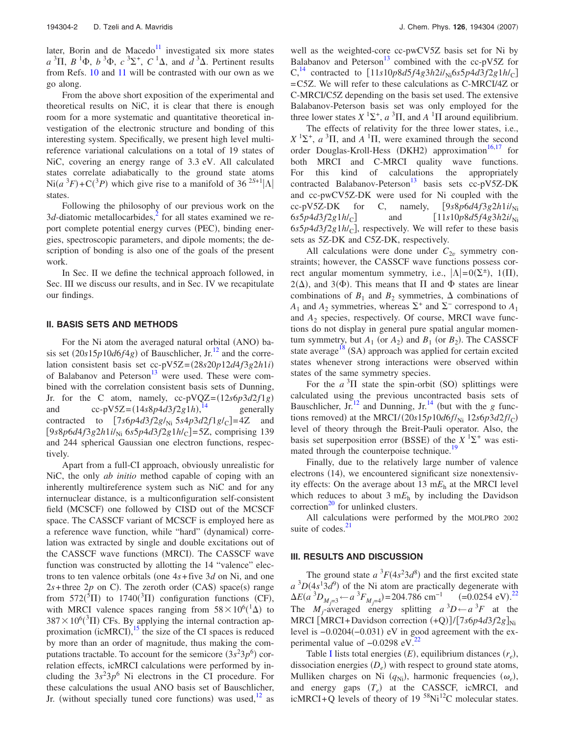later, Borin and de Macedo $11$  investigated six more states  $a^{3}\Pi$ ,  $B^{1}\Phi$ ,  $b^{3}\Phi$ ,  $c^{3}\Sigma^{+}$ ,  $C^{1}\Delta$ , and  $d^{3}\Delta$ . Pertinent results from Refs. [10](#page-11-13) and [11](#page-11-14) will be contrasted with our own as we go along.

From the above short exposition of the experimental and theoretical results on NiC, it is clear that there is enough room for a more systematic and quantitative theoretical investigation of the electronic structure and bonding of this interesting system. Specifically, we present high level multireference variational calculations on a total of 19 states of NiC, covering an energy range of 3.3 eV. All calculated states correlate adiabatically to the ground state atoms  $\text{Ni}(a^3F) + \text{C}(3P)$  which give rise to a manifold of 36 <sup>2S+1</sup>| $\Lambda$ | states.

Following the philosophy of our previous work on the  $3d$ -diatomic metallocarbides,<sup>2</sup> for all states examined we report complete potential energy curves (PEC), binding energies, spectroscopic parameters, and dipole moments; the description of bonding is also one of the goals of the present work.

In Sec. II we define the technical approach followed, in Sec. III we discuss our results, and in Sec. IV we recapitulate our findings.

#### **II. BASIS SETS AND METHODS**

For the Ni atom the averaged natural orbital (ANO) basis set  $(20s15p10d6f4g)$  of Bauschlicher, Jr.<sup>12</sup> and the correlation consistent basis set cc-pV5Z=28*s*20*p*12*d*4*f*3*g*2*h*1*i* of Balabanov and Peterson $13$  were used. These were combined with the correlation consistent basis sets of Dunning, Jr. for the C atom, namely,  $cc$ -pVQZ= $(12s6p3d2f1g)$ and cc-pV5Z=14*s*8*p*4*d*3*f*2*g*1*h*-, generally contracted to  $[7s6p4d3f2g/_{\text{Ni}} 5s4p3d2f1g/c] = 4Z$  and  $[9s8p6d4f3g2h1i/_{\text{Ni}}$  6*s*5*p*4*d*3*f*2*g*1*h*/<sub>C</sub>]=5Z, comprising 139 and 244 spherical Gaussian one electron functions, respectively.

Apart from a full-CI approach, obviously unrealistic for NiC, the only *ab initio* method capable of coping with an inherently multireference system such as NiC and for any internuclear distance, is a multiconfiguration self-consistent field (MCSCF) one followed by CISD out of the MCSCF space. The CASSCF variant of MCSCF is employed here as a reference wave function, while "hard" (dynamical) correlation was extracted by single and double excitations out of the CASSCF wave functions (MRCI). The CASSCF wave function was constructed by allotting the 14 "valence" electrons to ten valence orbitals (one  $4s + f$ ive  $3d$  on Ni, and one  $2s$ +three  $2p$  on C). The zeroth order (CAS) space(s) range from 572( ${}^{5}$ II) to 1740( ${}^{3}$ II) configuration functions (CF), with MRCI valence spaces ranging from  $58 \times 10^{6}$ ( $^{1}\Delta$ ) to  $387 \times 10^{6}$ (<sup>3</sup>II) CFs. By applying the internal contraction approximation (icMRCI), $15$  the size of the CI spaces is reduced by more than an order of magnitude, thus making the computations tractable. To account for the semicore  $(3s<sup>2</sup>3p<sup>6</sup>)$  correlation effects, icMRCI calculations were performed by including the  $3s^23p^6$  Ni electrons in the CI procedure. For these calculations the usual ANO basis set of Bauschlicher, Jr. (without specially tuned core functions) was used, $12$  as

well as the weighted-core cc-pwCV5Z basis set for Ni by Balabanov and Peterson<sup>13</sup> combined with the cc-pV5Z for  $C_1^{14}$  $C_1^{14}$  $C_1^{14}$  contracted to  $\left[11s10p8d5f4g3h2i/_{\text{Ni}}6s5p4d3f2g1h/_{\text{C}}\right]$ =C5Z. We will refer to these calculations as C-MRCI/4Z or C-MRCI/C5Z depending on the basis set used. The extensive Balabanov-Peterson basis set was only employed for the three lower states  $X$ <sup>1</sup> $\Sigma$ <sup>+</sup>,  $a$ <sup>3</sup> $\Pi$ , and  $A$ <sup>1</sup> $\Pi$  around equilibrium.

The effects of relativity for the three lower states, i.e.,  $X^1\Sigma^+$ , *a*  ${}^3\Pi$ , and *A*  ${}^1\Pi$ , were examined through the second order Douglas-Kroll-Hess (DKH2) approximation<sup>16[,17](#page-11-20)</sup> for both MRCI and C-MRCI quality wave functions. For this kind of calculations the appropriately contracted Balabanov-Peterson<sup>13</sup> basis sets cc-pV5Z-DK and cc-pwCV5Z-DK were used for Ni coupled with the cc-pV5Z-DK for C, namely,  $[9s8p6d4f3g2h11N_{\rm Ni}]$  $6s5p4d3f2g1h/c$  and  $\left[11s10p8d5f4g3h2i/c\right]$  $6s5p4d3f2g1h/c$ , respectively. We will refer to these basis sets as 5Z-DK and C5Z-DK, respectively.

All calculations were done under  $C_{2v}$  symmetry constraints; however, the CASSCF wave functions possess correct angular momentum symmetry, i.e.,  $|\Lambda| = O(\Sigma^{\pm})$ , 1(II),  $2(\Delta)$ , and  $3(\Phi)$ . This means that  $\Pi$  and  $\Phi$  states are linear combinations of  $B_1$  and  $B_2$  symmetries,  $\Delta$  combinations of *A*<sub>1</sub> and *A*<sub>2</sub> symmetries, whereas  $\Sigma^+$  and  $\Sigma^-$  correspond to *A*<sub>1</sub> and *A*<sup>2</sup> species, respectively. Of course, MRCI wave functions do not display in general pure spatial angular momentum symmetry, but  $A_1$  (or  $A_2$ ) and  $B_1$  (or  $B_2$ ). The CASSCF state average<sup>18</sup> (SA) approach was applied for certain excited states whenever strong interactions were observed within states of the same symmetry species.

For the  $a^3\Pi$  state the spin-orbit (SO) splittings were calculated using the previous uncontracted basis sets of Bauschlicher, Jr.<sup>12</sup> and Dunning, Jr.<sup>14</sup> (but with the *g* functions removed) at the MRCI/ $(20s15p10d6f/_{\text{Ni}} 12s6p3d2f/c)$ level of theory through the Breit-Pauli operator. Also, the basis set superposition error (BSSE) of the  $X$ <sup>1</sup> $\Sigma$ <sup>+</sup> was estimated through the counterpoise technique.<sup>19</sup>

Finally, due to the relatively large number of valence electrons (14), we encountered significant size nonextensivity effects: On the average about 13 m*E*<sup>h</sup> at the MRCI level which reduces to about 3  $mE<sub>h</sub>$  by including the Davidson correction $^{20}$  for unlinked clusters.

All calculations were performed by the MOLPRO 2002 suite of codes.<sup>21</sup>

#### **III. RESULTS AND DISCUSSION**

The ground state  $a^3F(4s^23d^8)$  and the first excited state  $a^{3}D(4s^{1}3d^{9})$  of the Ni atom are practically degenerate with  $\Delta E(a^{3}D_{M_{\tilde{J}}=3} \leftarrow a^{3}F_{M_{\tilde{J}}=4}) = 204.786 \text{ cm}^{-1}$   $(=0.0254 \text{ eV})^{22}$  $(=0.0254 \text{ eV})^{22}$  $(=0.0254 \text{ eV})^{22}$ The  $M_j$ -averaged energy splitting  $a^3D \leftarrow a^3F$  at the MRCI [MRCI+Davidson correction  $(+Q)$ ]/[7*s6p4d3f2g*]<sub>Ni</sub> level is  $-0.0204(-0.031)$  eV in good agreement with the experimental value of  $-0.0298$  eV.<sup>22</sup>

Table [I](#page-2-0) lists total energies  $(E)$ , equilibrium distances  $(r_e)$ , dissociation energies  $(D_e)$  with respect to ground state atoms, Mulliken charges on Ni  $(q_{Ni})$ , harmonic frequencies  $(\omega_e)$ , and energy gaps  $(T_e)$  at the CASSCF, icMRCI, and icMRCI+Q levels of theory of 19  $^{58}$ Ni<sup>12</sup>C molecular states.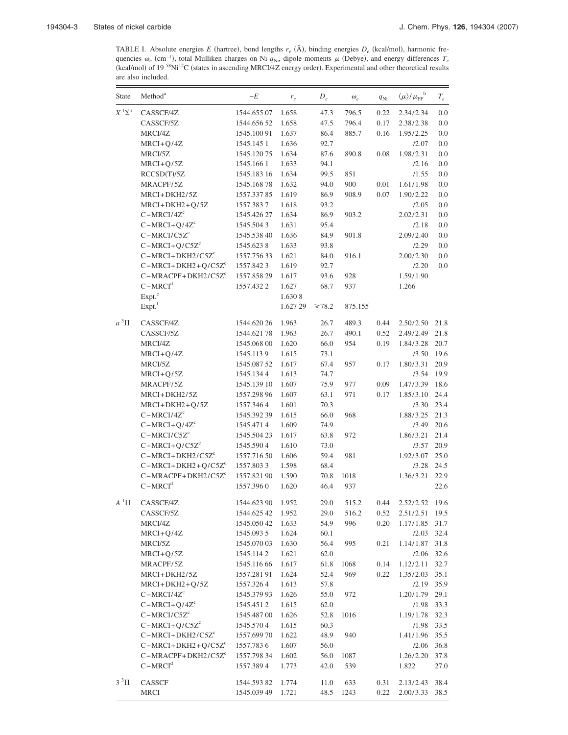<span id="page-2-0"></span>TABLE I. Absolute energies E (hartree), bond lengths  $r_e$  ( $\rm \AA$ ), binding energies  $D_e$  (kcal/mol), harmonic frequencies  $\omega_e$  (cm<sup>-1</sup>), total Mulliken charges on Ni  $q_{Ni}$ , dipole moments  $\mu$  (Debye), and energy differences  $T_e$ (kcal/mol) of 19<sup>58</sup>Ni<sup>12</sup>C (states in ascending MRCI/4Z energy order). Experimental and other theoretical results are also included.

| State                                  | Method <sup>a</sup>  | $-E$        | $r_e$    | $D_e$       | $\omega_e$ | $q_{\rm Ni}$ | $\langle\mu\rangle/\mu_\text{FF}^{\phantom{\dagger}}^{\phantom{\dagger}}$ | $T_{\it e}$ |
|----------------------------------------|----------------------|-------------|----------|-------------|------------|--------------|---------------------------------------------------------------------------|-------------|
| $X$ <sup>1</sup> $\Sigma$ <sup>+</sup> | CASSCF/4Z            | 1544.655 07 | 1.658    | 47.3        | 796.5      | 0.22         | 2.34/2.34                                                                 | 0.0         |
|                                        | CASSCF/5Z            | 1544.656 52 | 1.658    | 47.5        | 796.4      | 0.17         | 2.38/2.38                                                                 | 0.0         |
|                                        | MRCI/4Z              | 1545.10091  | 1.637    | 86.4        | 885.7      | 0.16         | 1.95/2.25                                                                 | 0.0         |
|                                        | $MRCI+Q/4Z$          | 1545.145 1  | 1.636    | 92.7        |            |              | /2.07                                                                     | 0.0         |
|                                        | MRCI/5Z              | 1545.12075  | 1.634    | 87.6        | 890.8      | 0.08         | 1.98/2.31                                                                 | 0.0         |
|                                        | $MRCI+Q/5Z$          | 1545.166 1  | 1.633    | 94.1        |            |              | /2.16                                                                     | 0.0         |
|                                        | RCCSD(T)/5Z          | 1545.183 16 | 1.634    | 99.5        | 851        |              | /1.55                                                                     | 0.0         |
|                                        | MRACPF/5Z            | 1545.16878  | 1.632    | 94.0        | 900        | 0.01         | 1.61/1.98                                                                 | 0.0         |
|                                        | MRCI+DKH2/5Z         | 1557.33785  | 1.619    | 86.9        | 908.9      | 0.07         | 1.90/2.22                                                                 | 0.0         |
|                                        | $MRCI + DKH2 + Q/5Z$ | 1557.3837   | 1.618    | 93.2        |            |              | /2.05                                                                     | 0.0         |
|                                        | $C-MRCI/4Zc$         | 1545.426 27 | 1.634    | 86.9        | 903.2      |              | 2.02/2.31                                                                 | 0.0         |
|                                        | $C-MRCI+Q/4Zc$       | 1545.5043   | 1.631    | 95.4        |            |              | /2.18                                                                     | 0.0         |
|                                        | $C-MRCI/C5Zc$        | 1545.538 40 | 1.636    | 84.9        | 901.8      |              | 2.09/2.40                                                                 | 0.0         |
|                                        | $C-MRCI+Q/C5Zc$      | 1545.6238   | 1.633    | 93.8        |            |              | /2.29                                                                     | 0.0         |
|                                        | $C-MRCI+DKH2/C5Zc$   | 1557.75633  | 1.621    | 84.0        | 916.1      |              | 2.00/2.30                                                                 | 0.0         |
|                                        | $C-MRCI+DKH2+Q/C5Zc$ | 1557.8423   | 1.619    | 92.7        |            |              | /2.20                                                                     | 0.0         |
|                                        | $C-MRACPF+DKH2/C5Zc$ | 1557.858 29 | 1.617    | 93.6        | 928        |              | 1.59/1.90                                                                 |             |
|                                        | $C-MRCId$            | 1557.4322   | 1.627    | 68.7        | 937        |              | 1.266                                                                     |             |
|                                        | Expt. <sup>e</sup>   |             | 1.6308   |             |            |              |                                                                           |             |
|                                        | Expt. <sup>f</sup>   |             | 1.627 29 | $\geq 78.2$ | 875.155    |              |                                                                           |             |
| $a^3\Pi$                               | CASSCF/4Z            | 1544.620 26 | 1.963    | 26.7        | 489.3      | 0.44         | 2.50/2.50                                                                 | 21.8        |
|                                        | CASSCF/5Z            | 1544.62178  | 1.963    | 26.7        | 490.1      | 0.52         | 2.49/2.49                                                                 | 21.8        |
|                                        | MRCI/4Z              | 1545.068 00 | 1.620    | 66.0        | 954        | 0.19         | 1.84/3.28                                                                 | 20.7        |
|                                        | $MRCI+Q/4Z$          | 1545.1139   | 1.615    | 73.1        |            |              | /3.50                                                                     | 19.6        |
|                                        | MRCI/5Z              | 1545.087 52 | 1.617    | 67.4        | 957        | 0.17         | 1.80/3.31                                                                 | 20.9        |
|                                        | $MRCI+Q/5Z$          | 1545.1344   | 1.613    | 74.7        |            |              | /3.54                                                                     | 19.9        |
|                                        | MRACPF/5Z            | 1545.139 10 | 1.607    | 75.9        | 977        | 0.09         | 1.47/3.39                                                                 | 18.6        |
|                                        | MRCI+DKH2/5Z         | 1557.298 96 | 1.607    | 63.1        | 971        | 0.17         | 1.85/3.10                                                                 | 24.4        |
|                                        | $MRCI + DKH2 + Q/5Z$ | 1557.3464   | 1.601    | 70.3        |            |              | /3.30                                                                     | 23.4        |
|                                        | $C-MRCI/4Zc$         | 1545.392 39 | 1.615    | 66.0        | 968        |              | 1.88/3.25                                                                 | 21.3        |
|                                        | $C-MRCI+Q/4Z^{c}$    | 1545.4714   | 1.609    | 74.9        |            |              | /3.49                                                                     | 20.6        |
|                                        | $C-MRCI/C5Zc$        | 1545.504 23 | 1.617    | 63.8        | 972        |              | 1.86/3.21                                                                 | 21.4        |
|                                        | $C-MRCI+Q/C5Zc$      | 1545.5904   | 1.610    | 73.0        |            |              | /3.57                                                                     | 20.9        |
|                                        | $C-MRCI+DKH2/C5Zc$   | 1557.716 50 | 1.606    | 59.4        | 981        |              | 1.92/3.07                                                                 | 25.0        |
|                                        | $C-MRCI+DKH2+Q/C5Zc$ | 1557.8033   | 1.598    | 68.4        |            |              | 13.28                                                                     | 24.5        |
|                                        | $C-MRACPF+DKH2/C5Zc$ | 1557.821 90 | 1.590    | 70.8        | 1018       |              | 1.36/3.21                                                                 | 22.9        |
|                                        | $C-MRCId$            | 1557.3960   | 1.620    | 46.4        | 937        |              |                                                                           | 22.6        |
| $A^1\Pi$                               | CASSCF/4Z            | 1544.623 90 | 1.952    | 29.0        | 515.2      | 0.44         | 2.52/2.52                                                                 | 19.6        |
|                                        | CASSCF/5Z            | 1544.625 42 | 1.952    | 29.0        | 516.2      | 0.52         | 2.51/2.51                                                                 | 19.5        |
|                                        | MRCI/4Z              | 1545.050 42 | 1.633    | 54.9        | 996        | 0.20         | 1.17/1.85                                                                 | 31.7        |
|                                        | $MRCI+Q/4Z$          | 1545.0935   | 1.624    | 60.1        |            |              | /2.03                                                                     | 32.4        |
|                                        | MRCI/5Z              | 1545.070 03 | 1.630    | 56.4        | 995        | 0.21         | 1.14/1.87                                                                 | 31.8        |
|                                        | $MRCI+Q/5Z$          | 1545.1142   | 1.621    | 62.0        |            |              | /2.06                                                                     | 32.6        |
|                                        | MRACPF/5Z            | 1545.116 66 | 1.617    | 61.8        | 1068       | 0.14         | 1.12/2.11                                                                 | 32.7        |
|                                        | MRCI+DKH2/5Z         | 1557.281 91 | 1.624    | 52.4        | 969        | 0.22         | 1.35/2.03                                                                 | 35.1        |
|                                        | $MRCI+DKH2+Q/5Z$     | 1557.3264   | 1.613    | 57.8        |            |              | /2.19                                                                     | 35.9        |
|                                        | $C-MRCI/4Zc$         | 1545.379 93 | 1.626    | 55.0        | 972        |              | 1.20/1.79                                                                 | 29.1        |
|                                        | $C-MRCI+Q/4Zc$       | 1545.4512   | 1.615    | 62.0        |            |              | /1.98                                                                     | 33.3        |
|                                        | $C-MRCI/C5Zc$        | 1545.48700  | 1.626    | 52.8        | 1016       |              | 1.19/1.78                                                                 | 32.3        |
|                                        | $C-MRCI+Q/C5Zc$      | 1545.5704   | 1.615    | 60.3        |            |              | /1.98                                                                     | 33.5        |
|                                        | $C-MRCI+DKH2/C5Zc$   | 1557.699 70 | 1.622    | 48.9        | 940        |              | 1.41/1.96                                                                 | 35.5        |
|                                        | $C-MRCI+DKH2+Q/C5Zc$ | 1557.7836   | 1.607    | 56.0        |            |              | /2.06                                                                     | 36.8        |
|                                        | $C-MRACPF+DKH2/C5Zc$ | 1557.798 34 | 1.602    | 56.0        | 1087       |              | 1.26/2.20                                                                 | 37.8        |
|                                        | $C-MRCId$            | 1557.3894   | 1.773    | 42.0        | 539        |              | 1.822                                                                     | 27.0        |
| $3^3\Pi$                               | CASSCF               | 1544.59382  | 1.774    | 11.0        | 633        | 0.31         | 2.13/2.43                                                                 | 38.4        |
|                                        | MRCI                 | 1545.039 49 | 1.721    | 48.5        | 1243       | 0.22         | 2.00/3.33                                                                 | 38.5        |
|                                        |                      |             |          |             |            |              |                                                                           |             |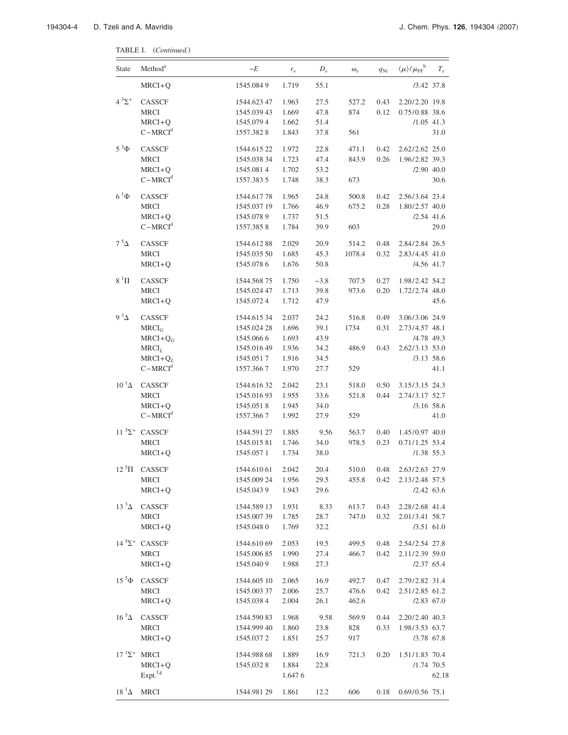TABLE I. (Continued.)

| <b>State</b>         | Method <sup>a</sup>             | -E          | $r_e$  | $D_e$  | $\omega_e$ | $q_{\rm Ni}$ | $\langle \mu \rangle / {\mu_{\rm FF}}^{\rm b}$ | $T_e$ |
|----------------------|---------------------------------|-------------|--------|--------|------------|--------------|------------------------------------------------|-------|
|                      | $MRCI+Q$                        | 1545.0849   | 1.719  | 55.1   |            |              | $/3.42$ 37.8                                   |       |
| $4^{3}\Sigma^{+}$    | CASSCF                          | 1544.623 47 | 1.963  | 27.5   | 527.2      | 0.43         | 2.20/2.20 19.8                                 |       |
|                      | <b>MRCI</b>                     | 1545.039 43 | 1.669  | 47.8   | 874        | 0.12         | 0.75/0.88 38.6                                 |       |
|                      | $MRCI+Q$                        | 1545.0794   | 1.662  | 51.4   |            |              | $/1.05$ 41.3                                   |       |
|                      | $C-MRCId$                       | 1557.3828   | 1.843  | 37.8   | 561        |              |                                                | 31.0  |
| $5^3\Phi$            | CASSCF                          | 1544.615 22 | 1.972  | 22.8   | 471.1      | 0.42         | 2.62/2.62 25.0                                 |       |
|                      | <b>MRCI</b>                     | 1545.038 34 | 1.723  | 47.4   | 843.9      | 0.26         | 1.96/2.82 39.3                                 |       |
|                      | $MRCI+Q$                        | 1545.0814   | 1.702  | 53.2   |            |              | $/2.90$ 40.0                                   |       |
|                      | $C-MRCId$                       | 1557.3835   | 1.748  | 38.3   | 673        |              |                                                | 30.6  |
| $6^{\mathrm{1}}\Phi$ | CASSCF                          | 1544.61778  | 1.965  | 24.8   | 500.8      | 0.42         | 2.56/3.64 23.4                                 |       |
|                      | <b>MRCI</b>                     | 1545.037 19 | 1.766  | 46.9   | 675.2      | 0.28         | 1.80/2.57 40.0                                 |       |
|                      | $MRCI+Q$                        | 1545.0789   | 1.737  | 51.5   |            |              | $/2.54$ 41.6                                   |       |
|                      | $C-MRCId$                       | 1557.3858   | 1.784  | 39.9   | 603        |              |                                                | 29.0  |
| $7^{\,5}\Delta$      | CASSCF                          | 1544.61288  | 2.029  | 20.9   | 514.2      | 0.48         | 2.84/2.84 26.5                                 |       |
|                      | <b>MRCI</b>                     | 1545.035 50 | 1.685  | 45.3   | 1078.4     | 0.32         | 2.83/4.45 41.0                                 |       |
|                      | $MRCI+Q$                        | 1545.0786   | 1.676  | 50.8   |            |              | /4.56 41.7                                     |       |
| $8~^1\Pi$            | CASSCF                          | 1544.568 75 | 1.750  | $-3.8$ | 707.5      | 0.27         | 1.98/2.42 54.2                                 |       |
|                      | <b>MRCI</b>                     | 1545.024 47 | 1.713  | 39.8   | 973.6      | 0.20         | 1.72/2.74 48.0                                 |       |
|                      | $MRCI+Q$                        | 1545.0724   | 1.712  | 47.9   |            |              |                                                | 45.6  |
| $9^3\Delta$          | CASSCF                          | 1544.615 34 | 2.037  | 24.2   | 516.8      | 0.49         | 3.06/3.06 24.9                                 |       |
|                      | $MRCI_G$                        | 1545.024 28 | 1.696  | 39.1   | 1734       | 0.31         | 2.73/4.57 48.1                                 |       |
|                      | $MRCI+Q_G$                      | 1545.0666   | 1.693  | 43.9   |            |              | /4.78 49.3                                     |       |
|                      | $MRCI_L$                        | 1545.016 49 | 1.936  | 34.2   | 486.9      | 0.43         | 2.62/3.13 53.0                                 |       |
|                      | $MRCI+Q_L$                      | 1545.0517   | 1.916  | 34.5   |            |              | $/3.13$ 58.6                                   |       |
|                      | $C-MRCId$                       | 1557.3667   | 1.970  | 27.7   | 529        |              |                                                | 41.1  |
| $10^{1}$ $\Delta$    | CASSCF                          | 1544.61632  | 2.042  | 23.1   | 518.0      | 0.50         | 3.15/3.15 24.3                                 |       |
|                      | <b>MRCI</b>                     | 1545.01693  | 1.955  | 33.6   | 521.8      | 0.44         | 2.74/3.17 52.7                                 |       |
|                      | $MRCI+Q$                        | 1545.0518   | 1.945  | 34.0   |            |              | $/3.16$ 58.6                                   |       |
|                      | $C-MRCId$                       | 1557.3667   | 1.992  | 27.9   | 529        |              |                                                | 41.0  |
|                      | $11 \, {}^{3}\Sigma^{+}$ CASSCF | 1544.591 27 | 1.885  | 9.56   | 563.7      | 0.40         | 1.45/0.97 40.0                                 |       |
|                      | <b>MRCI</b>                     | 1545.01581  | 1.746  | 34.0   | 978.5      | 0.23         | $0.71/1.25$ 53.4                               |       |
|                      | $MRCI+Q$                        | 1545.0571   | 1.734  | 38.0   |            |              | $/1.38$ 55.3                                   |       |
| $12~^{5}$ $\Pi$      | CASSCF                          | 1544.610 61 | 2.042  | 20.4   | 510.0      | 0.48         | 2.63/2.63 27.9                                 |       |
|                      | <b>MRCI</b>                     | 1545.009 24 | 1.956  | 29.5   | 455.8      | 0.42         | 2.13/2.48 57.5                                 |       |
|                      | $MRCI+Q$                        | 1545.0439   | 1.943  | 29.6   |            |              | $/2.42$ 63.6                                   |       |
| $13^3\Delta$         | CASSCF                          | 1544.589 13 | 1.931  | 8.33   | 613.7      | 0.43         | 2.28/2.68 41.4                                 |       |
|                      | <b>MRCI</b>                     | 1545.00739  | 1.785  | 28.7   | 747.0      | 0.32         | 2.01/3.41 58.7                                 |       |
|                      | $MRCI+Q$                        | 1545.0480   | 1.769  | 32.2   |            |              | $/3.51$ 61.0                                   |       |
|                      | $14 \, {}^5\Sigma^+$ CASSCF     | 1544.610 69 | 2.053  | 19.5   | 499.5      | 0.48         | 2.54/2.54 27.8                                 |       |
|                      | <b>MRCI</b>                     | 1545.00685  | 1.990  | 27.4   | 466.7      | 0.42         | 2.11/2.39 59.0                                 |       |
|                      | $MRCI+Q$                        | 1545.0409   | 1.988  | 27.3   |            |              | $/2.37$ 65.4                                   |       |
| $15\,{}^{5}\Phi$     | CASSCF                          | 1544.605 10 | 2.065  | 16.9   | 492.7      | 0.47         | 2.79/2.82 31.4                                 |       |
|                      | <b>MRCI</b>                     | 1545.003 37 | 2.006  | 25.7   | 476.6      | 0.42         | 2.51/2.85 61.2                                 |       |
|                      | $MRCI+Q$                        | 1545.0384   | 2.004  | 26.1   | 462.6      |              | $/2.83$ 67.0                                   |       |
| $16~^5\Delta$        | CASSCF                          | 1544.590 83 | 1.968  | 9.58   | 569.9      | 0.44         | 2.20/2.40 40.3                                 |       |
|                      | <b>MRCI</b>                     | 1544.999 40 | 1.860  | 23.8   | 828        | 0.33         | 1.98/3.53 63.7                                 |       |
|                      | $MRCI+Q$                        | 1545.0372   | 1.851  | 25.7   | 917        |              | /3.78 67.8                                     |       |
| $17^{1} \Sigma^{+}$  | <b>MRCI</b>                     | 1544.988 68 | 1.889  | 16.9   | 721.3      | 0.20         | 1.51/1.83 70.4                                 |       |
|                      | $MRCI+Q$                        | 1545.0328   | 1.884  | 22.8   |            |              | $/1.74$ 70.5                                   |       |
|                      | Expt. <sup>f,g</sup>            |             | 1.6476 |        |            |              |                                                | 62.18 |
| $18^{1}\Delta$       | <b>MRCI</b>                     | 1544.981 29 | 1.861  | 12.2   | 606        | 0.18         | 0.69/0.56 75.1                                 |       |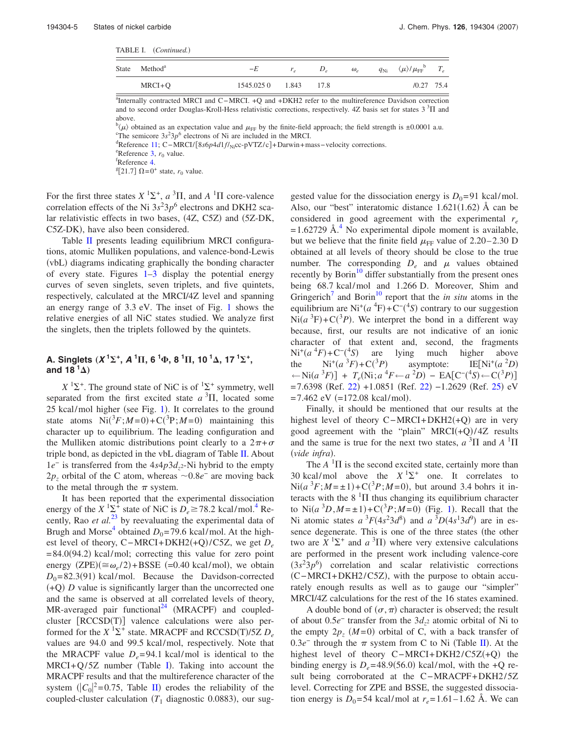TABLE I. (Continued.)

| <b>State</b> | Method <sup>a</sup> | -E         | $r_{\rm e}$ |      | $\omega_e$ | $q_{\rm Ni}$ $\langle \mu \rangle / \mu_{\rm FF}$ $T_e$ |  |
|--------------|---------------------|------------|-------------|------|------------|---------------------------------------------------------|--|
|              | $MRCI + O$          | 1545.025 0 | 1.843       | 17.8 |            | $/0.27$ 75.4                                            |  |

a<br>Internally contracted MRCI and C−MRCI. +Q and +DKH2 refer to the multireference Davidson correction and to second order Douglas-Kroll-Hess relativistic corrections, respectively. 4Z basis set for states  $3\text{ }^{3}\Pi$  and above.

 $b(\mu)$  obtained as an expectation value and  $\mu$ <sub>FF</sub> by the finite-field approach; the field strength is ±0.0001 a.u.

<sup>o</sup>The semicore  $3s^23p^6$  electrons of Ni are included in the MRCI. <sup>d</sup>Reference [11;](#page-11-14) C-MRCI/[8*s*6*p4d*1*f*/<sub>Ni</sub>cc-pVTZ/c]+Darwin+mass−velocity corrections.

 ${}^{\circ}$ Reference [3,](#page-11-6)  $r_0$  value.

<sup>f</sup>Reference [4.](#page-11-7)

 $\mathbb{E}[21.7] \Omega = 0^+$  state,  $r_0$  value.

For the first three states  $X$ <sup>1</sup> $\Sigma$ <sup>+</sup>,  $a$ <sup>3</sup> $\Pi$ , and  $A$ <sup>1</sup> $\Pi$  core-valence correlation effects of the Ni  $3s<sup>2</sup>3p<sup>6</sup>$  electrons and DKH2 scalar relativistic effects in two bases, (4Z, C5Z) and (5Z-DK, C5Z-DK), have also been considered.

Table [II](#page-5-0) presents leading equilibrium MRCI configurations, atomic Mulliken populations, and valence-bond-Lewis (vbL) diagrams indicating graphically the bonding character of every state. Figures [1](#page-9-0)[–3](#page-10-0) display the potential energy curves of seven singlets, seven triplets, and five quintets, respectively, calculated at the MRCI/4Z level and spanning an energy range of 3.3 eV. The inset of Fig. [1](#page-9-0) shows the relative energies of all NiC states studied. We analyze first the singlets, then the triplets followed by the quintets.

## **A.** Singlets  $(X^1\Sigma^+, A^1\Pi, 6^1\Phi, 8^1\Pi, 10^1\Delta, 17^1\Sigma^+,$ and 18  $^1\Delta$ )

 $X$ <sup>1</sup> $\Sigma$ <sup>+</sup>. The ground state of NiC is of <sup>1</sup> $\Sigma$ <sup>+</sup> symmetry, well separated from the first excited state  $a<sup>3</sup>$ II, located some  $25$  kcal/mol higher (see Fig. [1](#page-9-0)). It correlates to the ground state atoms  $Ni(^{3}F;M=0) + C(^{3}P;M=0)$  maintaining this character up to equilibrium. The leading configuration and the Mulliken atomic distributions point clearly to a  $2\pi+\sigma$ triple bond, as depicted in the vbL diagram of Table [II.](#page-5-0) About 1*e*<sup>−</sup> is transferred from the 4*s*4*p*3*d*<sub>7</sub><sup>2</sup>-Ni hybrid to the empty  $2p<sub>z</sub>$  orbital of the C atom, whereas  $\sim 0.8e^-$  are moving back to the metal through the  $\pi$  system.

It has been reported that the experimental dissociation energy of the *X*  $\frac{1}{2}$  state of NiC is  $D_e \ge 78.2$  kcal/mol.<sup>4</sup> Recently, Rao *et al.*<sup>[23](#page-11-26)</sup> by reevaluating the experimental data of Brugh and Morse<sup>4</sup> obtained  $D_0$ =79.6 kcal/mol. At the highest level of theory, C−MRCI+DKH2(+Q)/C5Z, we get  $D_e$  $= 84.0(94.2)$  kcal/mol; correcting this value for zero point energy  $(ZPE)(\cong \omega_e/2) + BSSE$  (=0.40 kcal/mol), we obtain  $D_0 = 82.3(91)$  kcal/mol. Because the Davidson-corrected  $(+Q)$  *D* value is significantly larger than the uncorrected one and the same is observed at all correlated levels of theory,  $MR$ -averaged pair functional<sup>24</sup> (MRACPF) and coupledcluster [RCCSD(T)] valence calculations were also performed for the  $X$ <sup>1</sup> $\Sigma$ <sup>+</sup> state. MRACPF and RCCSD(T)/5Z  $D_e$ values are 94.0 and 99.5 kcal/mol, respectively. Note that the MRACPF value  $D_e = 94.1$  kcal/mol is identical to the  $MRCI + Q/5Z$  $MRCI + Q/5Z$  $MRCI + Q/5Z$  number (Table I). Taking into account the MRACPF results and that the multireference character of the system  $(|C_0|^2 = 0.75$ , Table [II](#page-5-0)) erodes the reliability of the coupled-cluster calculation  $(T_1 \text{ diagnostic } 0.0883)$ , our suggested value for the dissociation energy is  $D_0=91$  kcal/mol. Also, our "best" interatomic distance  $1.621(1.62)$  Å can be considered in good agreement with the experimental *re*  $= 1.62729$  Å.<sup>4</sup> No experimental dipole moment is available, but we believe that the finite field  $\mu$ <sub>FF</sub> value of 2.20–2.30 D obtained at all levels of theory should be close to the true number. The corresponding  $D_e$  and  $\mu$  values obtained recently by Borin $10$  differ substantially from the present ones being 68.7 kcal/mol and 1.266 D. Moreover, Shim and Gringerich<sup>7</sup> and Borin<sup>10</sup> report that the *in situ* atoms in the equilibrium are  $\text{Ni}^{+}(a \ ^4\text{F}) + \text{C}^{-}(4\text{S})$  contrary to our suggestion  $\text{Ni}(a^3\text{F}) + \text{C}(3P)$ . We interpret the bond in a different way because, first, our results are not indicative of an ionic character of that extent and, second, the fragments  $Ni^+(a^4F) + C^{-(4}S)$  are lying much higher above the  $Ni^+(a^3F) + C(^3P)$ asymptote: *D*-  $\leftarrow$ Ni(a<sup>3</sup>F)] + T<sub>e</sub>(Ni;a<sup>4</sup>F←a<sup>2</sup>D) – EA[C<sup>-(4</sup>S)←C(<sup>3</sup>P)]  $= 7.6398$  (Ref. [22](#page-11-25))  $+1.0851$  (Ref. 22)  $-1.2629$  (Ref. [25](#page-11-28)) eV  $= 7.462$  eV  $(=172.08 \text{ kcal/mol}).$ 

Finally, it should be mentioned that our results at the highest level of theory C-MRCI+DKH2(+Q) are in very good agreement with the "plain"  $MRCI(+Q)/4Z$  results and the same is true for the next two states,  $a^{3}\Pi$  and  $A^{1}\Pi$ (vide infra).

The  $A$ <sup>1</sup> $\Pi$  is the second excited state, certainly more than 30 kcal/mol above the  $X<sup>1</sup> \Sigma^+$  one. It correlates to  $Ni(a^{3}F; M = \pm 1) + C({}^{3}P; M = 0)$ , but around 3.4 bohrs it interacts with the  $8<sup>1</sup>\Pi$  thus changing its equilibrium character to  $\text{Ni}(a^3D, M = \pm 1) + \text{C}(3P; M = 0)$  $\text{Ni}(a^3D, M = \pm 1) + \text{C}(3P; M = 0)$  $\text{Ni}(a^3D, M = \pm 1) + \text{C}(3P; M = 0)$  (Fig. 1). Recall that the Ni atomic states  $a^3F(4s^23d^8)$  and  $a^3D(4s^13d^9)$  are in essence degenerate. This is one of the three states (the other two are  $X$ <sup>1</sup> $\Sigma$ <sup>+</sup> and  $a$ <sup>3</sup> $\Pi$ ) where very extensive calculations are performed in the present work including valence-core  $(3s<sup>2</sup>3p<sup>6</sup>)$  correlation and scalar relativistic corrections (C-MRCI+DKH2/C5Z), with the purpose to obtain accurately enough results as well as to gauge our "simpler" MRCI/4Z calculations for the rest of the 16 states examined.

A double bond of  $(\sigma, \pi)$  character is observed; the result of about 0.5*e*<sup>−</sup> transfer from the 3*dz*<sup>2</sup> atomic orbital of Ni to the empty  $2p_z$   $(M=0)$  orbital of C, with a back transfer of 0.3 $e^-$  through the  $\pi$  system from C to Ni (Table [II](#page-5-0)). At the highest level of theory C-MRCI+DKH2/C5Z(+Q) the binding energy is  $D_e = 48.9(56.0)$  kcal/mol, with the +Q result being corroborated at the C−MRACPF+DKH2/5Z level. Correcting for ZPE and BSSE, the suggested dissociation energy is  $D_0 = 54$  kcal/mol at  $r_e = 1.61 - 1.62$  Å. We can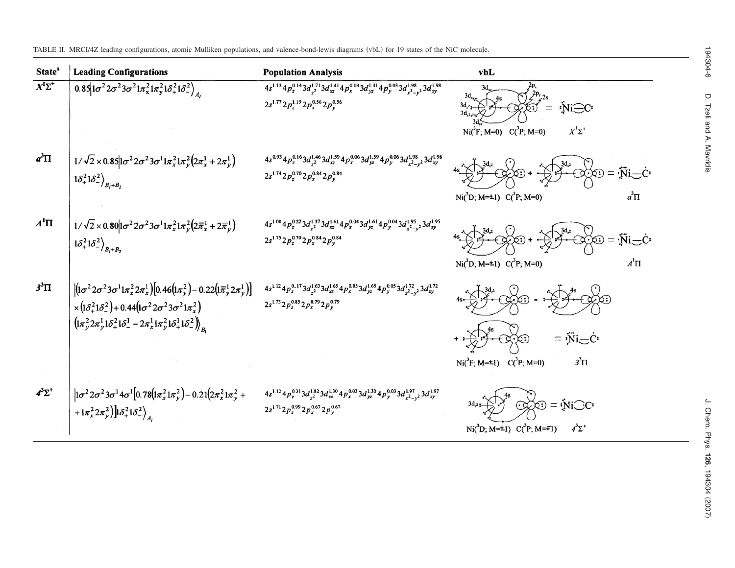State<sup>ª</sup> **Leading Configurations Population Analysis** vbL  $\overline{X^1\Sigma^+}$  $0.85|1\sigma^2 2\sigma^2 3\sigma^2 1\pi_x^2 1\pi_y^2 1\delta_+^2 1\delta_-^2\Big|_A$  $4s^{1.12}4p_z^{0.14}3d_{z^2}^{1.71}3d_{xz}^{1.41}4p_x^{0.03}3d_{yz}^{1.41}4p_y^{0.03}3d_{x^2-y^2}^{1.98}3d_{xy}^{1.98}$  $2s^{1.77}2p_{z}^{1.19}2p_{x}^{0.56}2p_{y}^{0.56}$  $3d<sub>2</sub>$  $iNi-C$  $3d$  $Ni(^{3}F; M=0)$   $C(^{3}P; M=0)$  $X^1\Sigma^+$  $a^3\Pi$  $4p_{z}^{0.16}3d_{z}^{1.46}3d_{xz}^{1.59}4p_{x}^{0.06}3d_{yz}^{1.59}4p_{y}^{0.06}3d_{x^{2}-y^{2}}^{1.98}3d_{xy}^{1.98}$  $1/\sqrt{2}\times 0.8511\sigma^2 2\sigma^2 3\sigma^1 1\pi_x^2 1\pi_y^2 (2\pi_x^1 + 2\pi_y^1)$  $\infty = \overline{N}i$  $1\delta_+^21\delta_-^2\big\rangle_{B_I+B_2}$  $2s^{1.74} 2p_z^{0.70} 2p_x^{0.84} 2p_v^{0.84}$  $a^3\Pi$ Ni( ${}^{3}D$ ; M= $\pm$ 1) C( ${}^{3}P$ ; M=0)  $A^1\Pi$  $4s^{1.00}4p_x^{0.22}3d_{z^2}^{1.37}3d_{xz}^{1.61}4p_x^{0.04}3d_{yz}^{1.61}4p_y^{0.04}3d_{x^2-y^2}^{1.95}3d_{xy}^{1.95}$  $1/\sqrt{2}\times0.80\bigl|1\sigma^22\sigma^23\sigma^11\pi_x^21\pi_y^2\bigl(2\overline{\pi}_x^1+2\overline{\pi}_y^1\bigr)$  $=$   $\ddot{N}i$   $\dot{C}$  $2s^{1.75} 2p_x^{0.70} 2p_x^{0.84} 2p_v^{0.84}$  $1\delta_{+}^21\delta_{-}^2\big\rangle_{B_l+B_2}$  $\boldsymbol{A}^{\text{I}}\boldsymbol{\Pi}$ Ni(<sup>3</sup>D; M=±1)  $C(^3P; M=0)$  $3^3\Pi$  $[(1\sigma^2 2\sigma^2 3\sigma^1 1\pi_x^2 2\pi_x^1) [0.46(1\pi_y^2) - 0.22(1\overline{\pi}_y^1 2\pi_y^1)]$  $4s^{1.12}4p_z^{0.17}3d_{z^2}^{1.63}3d_{xz}^{1.65}4p_x^{0.05}3d_{yz}^{1.65}4p_y^{0.05}3d_{z^2-y^2}^{1.72}3d_{xy}^{1.72}$  $2s^{1.73}2p_z^{0.85}2p_x^{0.79}2p_v^{0.75}$  $\times (1\delta_+^2 1\delta_-^2) + 0.44 (1\sigma^2 2\sigma^2 3\sigma^2 1\pi_\tau^2)$  $\left(\left(\frac{1}{2}\pi\right)^{2}2\pi\right)^{1}1\delta^{2}_{+}\left(\frac{1}{2}\right)^{1}-2\pi^{1}_{x}\left(\frac{1}{2}\pi\right)^{2}1\delta^{1}_{+}\left(\frac{1}{2}\right)^{2}\right)_{R}$  $= \ddot{\text{Ni}} - \dot{\text{C}}$  $Ni(^{3}F; M=\pm 1)$   $C(^{3}P; M=0)$  $3^3\Pi$  $\left|1\sigma^2 2\sigma^2 3\sigma^1 4\sigma^1\left[0.78\left(\!\!\left(n_{x}^2 1\pi_{y}^2\right)\!\!\right)\!\!\right.\!-0.21\!\left(2\pi_{x}^2 1\pi_{y}^2+\right.\right.$  $4^{3}\Sigma^{+}$  $4s^{1.12}4p_z^{0.31}3d_{z^2}^{1.82}3d_{xz}^{1.30}4p_x^{0.03}3d_{yz}^{1.30}4p_y^{0.03}3d_{z^2-1}^{1.97}$  $3d_{xy}^{1.97}$  $=$   $\mathbf{\dot{N}}$ i $\bigcirc$ C'  $2s^{1.71}2p_z^{0.99}2p_x^{0.67}2p_y^{0.67}$ + $\frac{1}{2} \pi_x^2 2 \pi_y^2$ ) $\left| \frac{\delta_x^2 1 \delta_y^2}{\delta_x^2} \right|_A$  $Ni(^{3}D; M=\pm 1)$   $C(^{3}P; M=\mp 1)$  $4^{3}\Sigma^{+}$ 

<span id="page-5-0"></span>TABLE II. MRCI/4Z leading configurations, atomic Mulliken populations, and valence-bond-lewis diagrams (vbL) for 19 states of the NiC molecule.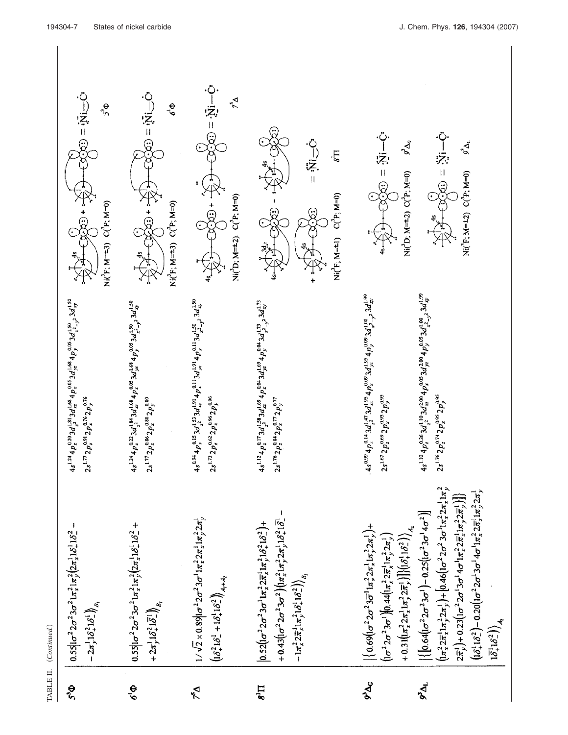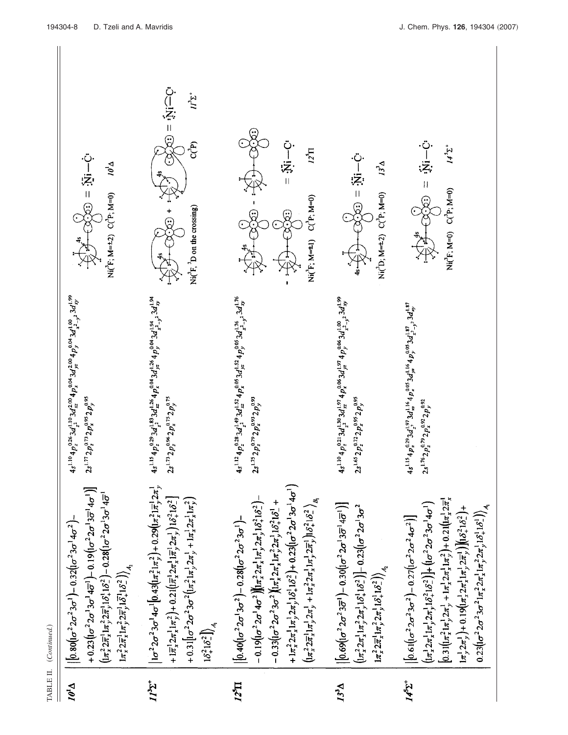| $\mathbf{V}_{i}\boldsymbol{\theta}_{I}$                                                                                                                                                                                                                                                                                                                                                                                                                | $II^3\Sigma^+$                                                                                                                                                                                                                                                                                                                                                                                                                                                                                                                                 | $12^{5}$ II                                                                                                                                                                                                                                                                                                                                                                                                                                                                                                                                                                                                                                                                                 | $13^{3}$ $\Delta$                                                                                                                                                                                                                                                                                                                                                                    | 1451                                                                                                                                                                                                                                                                                                                                                                                                                                                                                                                                                                                                                                                     |
|--------------------------------------------------------------------------------------------------------------------------------------------------------------------------------------------------------------------------------------------------------------------------------------------------------------------------------------------------------------------------------------------------------------------------------------------------------|------------------------------------------------------------------------------------------------------------------------------------------------------------------------------------------------------------------------------------------------------------------------------------------------------------------------------------------------------------------------------------------------------------------------------------------------------------------------------------------------------------------------------------------------|---------------------------------------------------------------------------------------------------------------------------------------------------------------------------------------------------------------------------------------------------------------------------------------------------------------------------------------------------------------------------------------------------------------------------------------------------------------------------------------------------------------------------------------------------------------------------------------------------------------------------------------------------------------------------------------------|--------------------------------------------------------------------------------------------------------------------------------------------------------------------------------------------------------------------------------------------------------------------------------------------------------------------------------------------------------------------------------------|----------------------------------------------------------------------------------------------------------------------------------------------------------------------------------------------------------------------------------------------------------------------------------------------------------------------------------------------------------------------------------------------------------------------------------------------------------------------------------------------------------------------------------------------------------------------------------------------------------------------------------------------------------|
| + $0.23$ $(1\sigma^2 2\sigma^1 3\sigma^1 4\overline{\sigma}^1)$ - $0.19$ $(1\sigma^2 2\sigma^1 3\overline{\sigma}^1 4\sigma^1)$<br>$\left(1\pi_+^2 2\pi_+^1 1\pi_+^2 2\pi_+^1 1\delta_+^1 1\delta_-^2\right) - 0.28\left(1\sigma^2 2\sigma^1 3\sigma^1 4\overline{\sigma}^1\right)$<br>$  0.80(c^2 2\sigma^2 3\sigma^1) - 0.32(c^2 3\sigma^1 4\sigma^2)$<br>$1\pi_x^2 2\pi_x^1 1\pi_y^2 2\pi_y^1 1\bar{\delta}_x^1 1\delta_z^2\big)\bigg\rangle_{A_2}$ | $\left  1\sigma^2 2\sigma^2 3\sigma^1 4\sigma^1 \right  0.43 \left( \ln \frac{2}{x}; \pi_y^2 \right) + 0.29 \left( \ln \frac{2}{x}; \pi_y^1; 2\pi_y^1 \right)$<br>+ $1\bar{\pi}_x^1 2\pi_x^1 1\pi_y^2$ + 0.21 $\left(1\bar{\pi}_x^1 2\pi_x^1 1\bar{\pi}_y^1 2\pi_y^1\right) 1\delta_x^2 1\delta_x^2$<br>+ 0.31 $\left[ \int_0^2 2\sigma^2 3\sigma^2 \left( \frac{\pi_2^2}{\pi} \right) \frac{\pi_1^3}{\pi_2^2} \right] + \frac{1}{\pi_2^2} \frac{\pi_2^3}{\pi_2^2} \left( \frac{\pi_2^2}{\pi_2^2} \right)$<br>$16^{2}_{+}16^{2}_{-}$ ]) $_{4}$ | + $1\pi_*^2 2\pi_*^1 1\pi_3^1 2\pi_3^1 1\delta_4^1 1\delta_2^2$ + 0.23 $(1\sigma^2 2\sigma^1 3\sigma^1 4\sigma^1)$<br>$-0.19(1\sigma^2 2\sigma^1 4\sigma^2)[(\pi_x^2 2\pi_x^1 1\pi_y^1 2\pi_y^1 1\delta_x^2 1\delta_z^2)$<br>$\left(\int \frac{1}{2\pi x^2} \frac{1}{2\pi y} \left(1 - \frac{1}{2\pi y^2} \right) + \left(1 - \frac{1}{2\pi y^2} \right) \frac{1}{2\pi y} \left(1 - \frac{1}{2\pi y^2} \right) \left(1 - \frac{1}{2\pi y^2} \right) \frac{1}{2\pi y^2} \right)$<br>$-0.33$ ( $\sigma^2 2\sigma^2 3\sigma^2$ )( $\pi_x^1 2\pi_x^1 1\pi_y^2 2\pi_y^1 16_+^2 16_+^1 +$<br>$\left  0.40 (1 \sigma^2 2 \sigma^1 3 \sigma^2) - 0.28 (1 \sigma^2 2 \sigma^2 3 \sigma^1) - \right $ | $\left  0.69 (1\sigma^2 2\sigma^2 3\overline{\sigma}^1) - 0.30 (1\sigma^2 2\sigma^1 3\overline{\sigma}^1 4\overline{\sigma}^1) \right $<br>$\left( \frac{1}{\pi_2^2} 2 \pi_2^1 1 \pi_2^2 2 \pi_2^1 1 \delta_1^1 1 \delta_2^2 \right) - 0.23 \left( \frac{1}{\pi_2^2} 2 \sigma^1 3 \sigma^2 \right)$<br>$1\pi_x^2 2\pi_x^1 1\pi_y^2 2\pi_y^1 1\delta_x^1 1\delta_z^2\big)\Big _{A_2}$ | $[0.31[(\pi_x^2 1\pi_y^1 2\pi_y^1 + 1\pi_x^1 2\pi_x^1 1\pi_y^2) + 0.21[(\pi_x^1 2\pi_x^1$<br>$\left(\frac{1}{2}\pi^1, 2\pi^1, 1\pi^1, 2\pi^1, 1\delta^2 + \delta^2\right) + \left(\frac{1}{2}\sigma^2, 2\sigma^2, 3\sigma^1, 4\sigma^1\right)$<br>$0.23[(\sigma^2 2\sigma^2 3\sigma^2 1\pi_x^2 2\pi_x^1 1\pi_y^2 2\pi_y^1 1\delta_x^1 1\delta_x^1)]_{A_1}$<br>$\left[\pi_2^1 2\pi_2^1\right] + 0.19 \left(\left[\pi_2^1 2\pi_2^1 1\pi_2^1 2\pi_2^1\right)\right] \left(\left[\delta_2^2 1\delta_2^2\right] + \right)$<br>$\left 0.61 \right  \left(\sigma ^2 2 \sigma ^2 3 \sigma ^2\right)-0.27 \left(\right  \sigma ^2 2 \sigma ^2 4 \sigma ^2\right)$ |
| $4s^{1.10}4p_x^{2.6}$ $s^2d_y^{1.10}$ $3d_x^{12.00}$ $4p_x^{0.04}$ $3d_y^{10.06}$ $3d_x^{1.09}$<br>$2s^{1.77} 2p_z^{0.73} 2p_x^{0.95} 2p_y^{0.95}$                                                                                                                                                                                                                                                                                                     | $4s^{115}4p_x^{0.25}3d_{1.2}^{1.83}3d_{1.2}^{1.26}4p_x^{0.04}3d_{1.2}^{1.26}4p_y^{0.04}3d_{1.2.1}^{1.94}3d_{xy}^{1.94}$<br>$2s^{1.73}2p_z^{0.96}2p_x^{0.75}2p_y^{0.75}$                                                                                                                                                                                                                                                                                                                                                                        | $4s^{1.12}4p^{0.28}_z3d^{1.49}_{z^2}3d^{1.52}_{zz}4p^{0.05}_x3d^{1.54}_{yz}p^{0.05}_y3d^{1.76}_{z^2-y^2}3d^{1.76}_{xy}$<br>$2s^{1.75} 2p_x^{0.79} 2p_x^{0.93} 2p_y^{0.93}$                                                                                                                                                                                                                                                                                                                                                                                                                                                                                                                  | $4s^{1.10}_{2}a_{12}^{1}a_{21}^{1}3d_{12}^{1.80}3d_{12}^{1.91}4p_{2}^{1.605}3d_{1.71}^{1.81}4p_{3}^{1.61}a_{21}^{1.001}3d_{xy}^{1.89}$<br>$2s^{1.65}2p_x^{0.72}2p_x^{0.95}2p_y^{0.95}$                                                                                                                                                                                               | $4s^{1.15}4p^{0.29}_s3d^{1.97}_{\frac{1}{2}}3d^{1.16}_{\frac{1}{2}}4p^{0.05}_{\frac{1}{2}}3d^{1.16}_{\frac{1}{2}}7d^{1.87}_{\frac{1}{2}}$<br>$2s^{1.76}2p_z^{0.79}2p_x^{0.92}2p_y^{0.92}$                                                                                                                                                                                                                                                                                                                                                                                                                                                                |
| $\ddot{\odot} - \ddot{\ddot{\ddot{\chi}}}$ = $\odot$<br>$\overline{\nu}_I^{\rho}$<br>$Ni(^{2}F; M=+2)$ $C(^{2}F; M=0)$                                                                                                                                                                                                                                                                                                                                 | $\ddot{C}$ $\left(\frac{1}{2} + \frac{1}{2}\right)$<br>$I^{\frac{1}{2}^+}$<br>င် <sup>နာ</sup><br>Ni( ${}^{3}F, {}^{3}D$ on the crossing)                                                                                                                                                                                                                                                                                                                                                                                                      | ن<br>:چ:<br>⊢<br>$\overline{\Pi}_s$<br>$Ni('F; M=1)$ $C('P; M=0)$                                                                                                                                                                                                                                                                                                                                                                                                                                                                                                                                                                                                                           | - වි:<br>- බූ: = ලැ<br>$L^3\Delta$<br>$Ni(^{1}D; M=2)$ $C(^{1}P; M=0)$                                                                                                                                                                                                                                                                                                               | 1432<br>$\frac{1}{2}$ :<br>$Ni(^{3}F; M=0)$ $C(^{3}F; M=0)$<br>\$33                                                                                                                                                                                                                                                                                                                                                                                                                                                                                                                                                                                      |
| 194304-8<br>D. Tzeli and A. Mavridis                                                                                                                                                                                                                                                                                                                                                                                                                   |                                                                                                                                                                                                                                                                                                                                                                                                                                                                                                                                                |                                                                                                                                                                                                                                                                                                                                                                                                                                                                                                                                                                                                                                                                                             |                                                                                                                                                                                                                                                                                                                                                                                      | J. Chem. Phys. 126, 194304 (                                                                                                                                                                                                                                                                                                                                                                                                                                                                                                                                                                                                                             |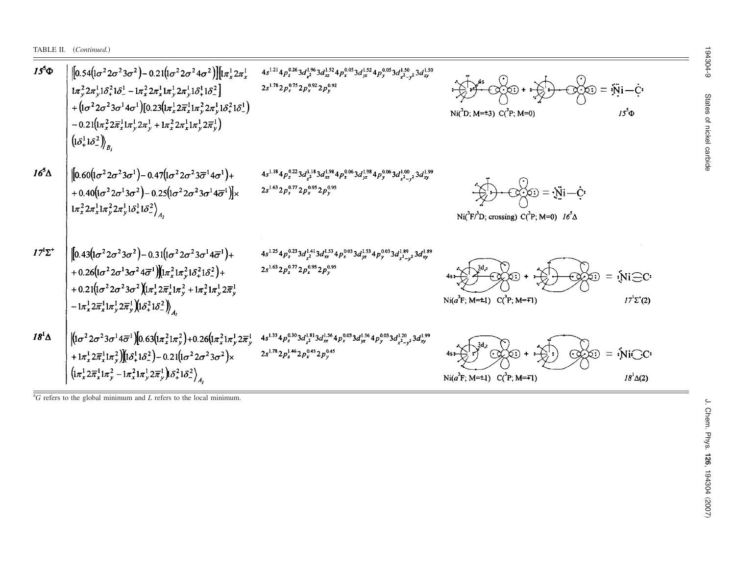TABLE II. *(Continued.)* 

| $15^5\Phi$     | $\left[0.54\left(\frac{1}{\sigma^2 2\sigma^2 3\sigma^2}\right)-0.21\left(\frac{1}{\sigma^2 2\sigma^2 4\sigma^2}\right)\right]\left[\frac{1}{\pi_x^1 2\pi_x^1}\right]$<br>$1\pi_v^2 2\pi_v^1 1\delta_+^2 1\delta_-^1 - 1\pi_x^2 2\pi_x^1 1\pi_v^1 2\pi_v^1 1\delta_+^1 1\delta_-^2$<br>+ $\left(1\sigma^2 2\sigma^2 3\sigma^1 4\sigma^1\right)$ [0.23 $\left(1\pi_x^1 2\overline{\pi}_x^1 1\pi_y^2 2\pi_y^1 1\delta_{+}^2 1\delta_{-}^1\right)$<br>$-0.21(\sqrt{1\pi_x^2 2\bar{\pi}_x^1 1\pi_y^1 2\pi_y^1} + \sqrt{1\pi_x^2 2\pi_x^1 1\pi_y^1 2\bar{\pi}_y^1})$<br>$\left(\left \delta_{+}^{1}1\delta_{-}^{2}\right)\right\rangle_{B}$ | $4s^{1.21}4p^{0.26}_z3d^{1.96}_{z^2}3d^{1.52}_{xz}4p^{0.05}_x3d^{1.52}_{yz}4p^{0.05}_y3d^{1.50}_{x^2-y^2}3d^{1.50}_{xy}$<br>$2s^{1.78}2p_z^{0.75}2p_x^{0.92}2p_y^{0.92}$       | $\odot$ $\odot$ $\odot$ $=$ $\ddot{N}$ i $ \dot{C}$<br>Ni( ${}^{3}D$ ; M= $\pm 3$ ) C( ${}^{3}P$ ; M=0)<br>$15^5$ $\Phi$    |  |
|----------------|---------------------------------------------------------------------------------------------------------------------------------------------------------------------------------------------------------------------------------------------------------------------------------------------------------------------------------------------------------------------------------------------------------------------------------------------------------------------------------------------------------------------------------------------------------------------------------------------------------------------------------------|--------------------------------------------------------------------------------------------------------------------------------------------------------------------------------|-----------------------------------------------------------------------------------------------------------------------------|--|
| $16^5\Delta$   | $\left[0.60\left(\sigma^2 2\sigma^2 3\sigma^1\right)-0.47\left(\left(\sigma^2 2\sigma^2 3\overline{\sigma}^1 4\sigma^1\right)+\right.\right.$<br>+0.40( $\left[1\sigma^2 2\sigma^1 3\sigma^2\right]$ - 0.25( $\left[1\sigma^2 2\sigma^2 3\sigma^1 4\overline{\sigma}^1\right]$ )×<br>$1\pi_x^2 2\pi_x^1 1\pi_y^2 2\pi_y^1 1\delta_+^1 1\delta_-^2\Big\rangle_{A_2}$                                                                                                                                                                                                                                                                   | $4s^{1.18}4p_z^{0.22}3d_{z^2}^{1.18}3d_{xz}^{1.98}4p_x^{0.06}3d_{yz}^{1.98}4p_y^{0.06}3d_{x^2-y^2}^{1.00}3d_{xy}^{1.99}$<br>$2s^{1.63}2p_{z}^{0.77}2p_{x}^{0.95}2p_{y}^{0.95}$ | $\bigcirc \circ \bigcirc = \mathbf{W} - \mathbf{C}$<br>Ni( ${}^{3}F/{}^{3}D$ ; crossing) C( ${}^{3}P$ ; M=0) $16^{5}\Delta$ |  |
| $17^1\Sigma^+$ | $\left[0.43\left(\frac{1}{\sigma^2}\right)\frac{2\sigma^2}{3\sigma^2}\right)-0.31\left(\frac{1}{\sigma^2}\frac{2\sigma^2}{3\sigma^1}\frac{4\overline{\sigma}^1}{\sigma^1}\right)+\right.$<br>+0.26 $\left(1\sigma^2 2\sigma^1 3\sigma^2 4\overline{\sigma}^1\right)$ $\left(1\pi_x^2 1\pi_y^2 1\delta_+^2 1\delta_-^2\right)$ +<br>+ $0.21 \left( \frac{1}{\sigma^2} 2 \sigma^2 3 \sigma^2 \right) \left( \frac{1}{x_x^1} 2 \overline{x}_x^1 \right) \frac{1}{x_y^2} + \frac{1}{x_x^2} 1 \overline{x}_y^1 2 \overline{x}_y^1$<br>$-1\pi_x^1 2\overline{\pi}_x^1 1\pi_y^1 2\overline{\pi}_y^1 1\delta_+^2 1\delta_-^2\Big)_A$          | $4s^{1.25}4p_z^{0.23}3d_{z^2}^{1.41}3d_{xz}^{1.53}4p_x^{0.03}3d_{yz}^{1.53}4p_y^{0.03}3d_{x^2-y^2}^{1.89}3d_{xy}^{1.89}$<br>$2s^{1.63}2p_z^{0.77}2p_x^{0.95}2p_y^{0.95}$       | $Ni$ $\bigodot$ $C$<br>Ni( $a^3F$ ; M= $\pm 1$ ) C( $^3P$ ; M= $\mp 1$ )<br>$17^{1}$ $\Sigma$ <sup>+</sup> (2)              |  |
| $18^{1}\Delta$ | $\left  \left(1 \sigma^2 2 \sigma^2 3 \sigma^1 4 \overline{\sigma}^1 \right) \right  0.63 \left(1 \pi_x^2 1 \pi_y^2 \right) + 0.26 \left(1 \pi_x^2 1 \pi_y^1 2 \overline{\pi}_y^1 \right.$<br>+ $1\pi_x^1 2\overline{\pi}_x^1 1\pi_y^2$ $[(\delta_+^1 1\delta_-^2) - 0.21(\delta_0^2 2\sigma_0^2 3\sigma_0^2) \times$<br>$\left(\frac{1}{\pi_x^1} 2 \overline{\pi}_x^1 \right) \frac{1}{\pi_y^2} - \frac{1}{\pi_x^2} \frac{1}{\pi_y^1} 2 \overline{\pi}_y^1 \right) \frac{\delta_x^2}{\delta_x^2} \frac{\delta_x^2}{\delta_y^2}$                                                                                                      | $4s^{1.33}4p^{0.30}_{z}3d^{1.81}_{z^2}3d^{1.56}_{xz}4p^{0.03}_{x}3d^{1.56}_{yz}4p^{0.03}_{y}3d^{1.20}_{x^2-y^2}3d^{1.99}_{xy}$<br>$2s^{1.78}2p_z^{1.46}2p_x^{0.45}2p_y^{0.45}$ | $\circ \otimes \circ = \mathsf{Ni}\odot \mathsf{C}$<br>Ni( $a^3F$ ; M= $\pm 1$ ) C( $^3P$ ; M= $\mp 1$ )<br>$18^1\Delta(2)$ |  |

<sup>a</sup>*G* refers to the global minimum and *L* refers to the local minimum.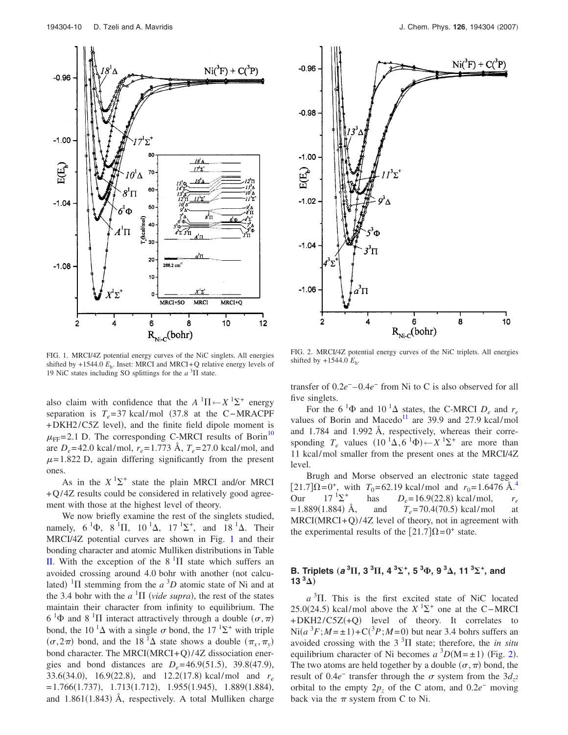<span id="page-9-0"></span>

FIG. 1. MRCI/4Z potential energy curves of the NiC singlets. All energies shifted by  $+1544.0$   $E_h$ . Inset: MRCI and MRCI+Q relative energy levels of 19 NiC states including SO splittings for the  $a<sup>3</sup>$ II state.

also claim with confidence that the  $A^{-1}\Pi \leftarrow X^{-1}\Sigma^{+}$  energy separation is  $T_e$ = 37 kcal/mol (37.8 at the C−MRACPF +DKH2/C5Z level), and the finite field dipole moment is  $\mu_{\text{FF}}$ = 2.1 D. The corresponding C-MRCI results of Borin<sup>10</sup> are  $D_e = 42.0$  kcal/mol,  $r_e = 1.773$  Å,  $T_e = 27.0$  kcal/mol, and  $\mu$ = 1.822 D, again differing significantly from the present ones.

As in the  $X$ <sup>1</sup> $\Sigma$ <sup>+</sup> state the plain MRCI and/or MRCI +Q/4Z results could be considered in relatively good agreement with those at the highest level of theory.

We now briefly examine the rest of the singlets studied, namely,  $6^{1}\Phi$ ,  $8^{1}\Pi$ ,  $10^{1}\Delta$ ,  $17^{1}\Sigma^{+}$ , and  $18^{1}\Delta$ . Their MRCI/4Z potential curves are shown in Fig. [1](#page-9-0) and their bonding character and atomic Mulliken distributions in Table [II.](#page-5-0) With the exception of the  $8<sup>1</sup>\Pi$  state which suffers an avoided crossing around 4.0 bohr with another (not calculated) <sup>1</sup> $\Pi$  stemming from the *a* <sup>3</sup> $D$ </sup> atomic state of Ni and at the 3.4 bohr with the  $a<sup>1</sup>\Pi$  (vide supra), the rest of the states maintain their character from infinity to equilibrium. The  $6^{1}\Phi$  and  $8^{1}\Pi$  interact attractively through a double  $(\sigma, \pi)$ bond, the 10<sup> $1$ </sup> $\Delta$  with a single  $\sigma$  bond, the 17<sup> $1$ </sup> $\Sigma$ <sup>+</sup> with triple  $(\sigma, 2\pi)$  bond, and the 18<sup>1</sup> $\Delta$  state shows a double  $(\pi_x, \pi_y)$ bond character. The MRCI(MRCI+Q)/4Z dissociation energies and bond distances are  $D_e = 46.9(51.5)$ , 39.8(47.9), 33.6(34.0), 16.9(22.8), and 12.2(17.8) kcal/mol and  $r_e$  $= 1.766(1.737), 1.713(1.712), 1.955(1.945), 1.889(1.884),$ and 1.861(1.843) Å, respectively. A total Mulliken charge

<span id="page-9-1"></span>

FIG. 2. MRCI/4Z potential energy curves of the NiC triplets. All energies shifted by +1544.0 *E*h.

transfer of 0.2*e*<sup>−</sup> –0.4*e*<sup>−</sup> from Ni to C is also observed for all five singlets.

For the 6<sup>1</sup> $\Phi$  and 10<sup>1</sup> $\Delta$  states, the C-MRCI  $D_e$  and  $r_e$ values of Borin and Macedo<sup>11</sup> are 39.9 and 27.9 kcal/mol and 1.784 and 1.992 Å, respectively, whereas their corresponding  $T_e$  values  $(10^{-1}\Delta, 6^{-1}\Phi) \leftarrow X^{-1}\Sigma^+$  are more than 11 kcal/mol smaller from the present ones at the MRCI/4Z level.

Brugh and Morse observed an electronic state tagged  $[21.7]\Omega = 0^+$ , with  $T_0 = 62.19$  kcal/mol and  $r_0 = 1.6476$  Å.<sup>4</sup><br>Our  $17^{1}\Sigma$ <sup>+</sup> has  $D_s = 16.9(22.8)$  kcal/mol.  $r_s$ Our  $17^{1} \Sigma^{+}$  $\Sigma^+$  has  $D_e = 16.9(22.8) \text{ kcal/mol}$ ,  $r_e$  $= 1.889(1.884)$  Å,  $\hat{A}$ , and  $T_e = 70.4(70.5) \text{ kcal/mol}$  at  $MRCI(MRCI+Q)/4Z$  level of theory, not in agreement with the experimental results of the  $[21.7]\Omega = 0^+$  state.

## **B.** Triplets  $(a^3\Pi, 3^3\Pi, 4^3\Sigma^+, 5^3\Phi, 9^3\Delta, 11^3\Sigma^+,$  and **13**<sup> $3$ </sup> $\Delta$ )

 $a<sup>3</sup>$ II. This is the first excited state of NiC located 25.0(24.5) kcal/mol above the  $X$  <sup>1</sup> $\Sigma$ <sup>+</sup> one at the C−MRCI +DKH2/C5Z(+Q) level of theory. It correlates to  $\text{Ni}(a^3F; M = \pm 1) + \text{C}(3P; M = 0)$  but near 3.4 bohrs suffers an avoided crossing with the  $3<sup>3</sup>\Pi$  state; therefore, the *in situ* equilibrium character of Ni becomes  $a^{3}D(M=\pm 1)$  (Fig. [2](#page-9-1)). The two atoms are held together by a double  $(\sigma, \pi)$  bond, the result of 0.4*e*<sup>−</sup> transfer through the  $\sigma$  system from the 3*d*<sub>z</sub><sup>2</sup> orbital to the empty  $2p_z$  of the C atom, and  $0.2e^-$  moving back via the  $\pi$  system from C to Ni.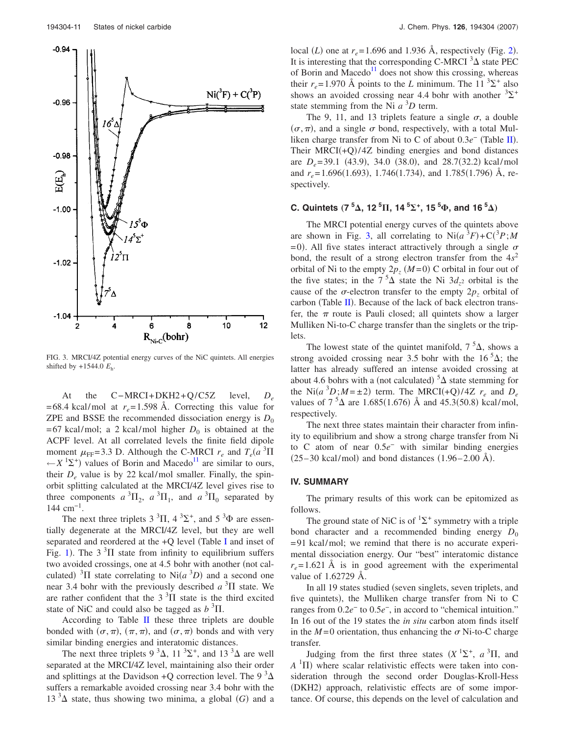<span id="page-10-0"></span>

FIG. 3. MRCI/4Z potential energy curves of the NiC quintets. All energies shifted by +1544.0 *E*h.

At the C−MRCI+DKH2+Q/C5Z level, *De*  $= 68.4$  kcal/mol at  $r_e = 1.598$  Å. Correcting this value for ZPE and BSSE the recommended dissociation energy is  $D_0$  $= 67$  kcal/mol; a 2 kcal/mol higher  $D_0$  is obtained at the ACPF level. At all correlated levels the finite field dipole moment  $\mu_{\text{FF}} = 3.3$  D. Although the C-MRCI  $r_e$  and  $T_e(a^3\Pi)$  $\leftarrow$  *X*<sup>1</sup> $\Sigma$ <sup>+</sup>) values of Borin and Macedo<sup>11</sup> are similar to ours, their  $D_e$  value is by 22 kcal/mol smaller. Finally, the spinorbit splitting calculated at the MRCI/4Z level gives rise to three components  $a^3\Pi_2$ ,  $a^3\Pi_1$ , and  $a^3\Pi_0$  separated by  $144 \text{ cm}^{-1}$ .

The next three triplets  $3^3\Pi$ ,  $4^3\Sigma^+$ , and  $5^3\Phi$  are essentially degenerate at the MRCI/4Z level, but they are well separated and reordered at the  $+Q$  level (Table [I](#page-2-0) and inset of Fig. [1](#page-9-0)). The  $3<sup>3</sup>\Pi$  state from infinity to equilibrium suffers two avoided crossings, one at 4.5 bohr with another (not calculated) <sup>3</sup> $\Pi$  state correlating to Ni $(a^3D)$  and a second one near 3.4 bohr with the previously described  $a<sup>3</sup>\Pi$  state. We are rather confident that the  $3<sup>3</sup>\Pi$  state is the third excited state of NiC and could also be tagged as  $b<sup>3</sup>$ II.

According to Table [II](#page-5-0) these three triplets are double bonded with  $(\sigma, \pi)$ ,  $(\pi, \pi)$ , and  $(\sigma, \pi)$  bonds and with very similar binding energies and interatomic distances.

The next three triplets  $9^3\Delta$ ,  $11^3\Sigma^+$ , and  $13^3\Delta$  are well separated at the MRCI/4Z level, maintaining also their order and splittings at the Davidson +Q correction level. The 9  $^3\Delta$ suffers a remarkable avoided crossing near 3.4 bohr with the 13<sup>3</sup> $\Delta$  state, thus showing two minima, a global (G) and a

local (*L*) one at  $r_e$  = 1.696 and 1.936 Å, respectively (Fig. [2](#page-9-1)). It is interesting that the corresponding C-MRCI  $3\Delta$  state PEC of Borin and Macedo<sup>11</sup> does not show this crossing, whereas their  $r_e$ =1.970 Å points to the *L* minimum. The 11<sup>3</sup> $\Sigma$ <sup>+</sup> also shows an avoided crossing near 4.4 bohr with another  ${}^{3}\Sigma^{+}$ state stemming from the Ni  $a^3D$  term.

The 9, 11, and 13 triplets feature a single  $\sigma$ , a double  $(\sigma, \pi)$ , and a single  $\sigma$  bond, respectively, with a total Mulliken charge transfer from Ni to C of about 0.3*e*<sup>−</sup> (Table [II](#page-5-0)). Their  $MRCI(+Q)/4Z$  binding energies and bond distances are  $D_e = 39.1$  (43.9), 34.0 (38.0), and 28.7(32.2) kcal/mol and *r<sub>e</sub>*=1.696(1.693), 1.746(1.734), and 1.785(1.796) Å, respectively.

# **C.** Quintets  $(7 \text{ }^5\text{A}, 12 \text{ }^5\text{H}, 14 \text{ }^5\text{S}^+, 15 \text{ }^5\text{A}, \text{and } 16 \text{ }^5\text{A})$

The MRCI potential energy curves of the quintets above are shown in Fig. [3,](#page-10-0) all correlating to  $\text{Ni}(a^3F) + \text{C}(3P)$ ; *M*  $= 0$ ). All five states interact attractively through a single  $\sigma$ bond, the result of a strong electron transfer from the 4*s*<sup>2</sup> orbital of Ni to the empty  $2p_z(M=0)$  C orbital in four out of the five states; in the  $7<sup>5</sup>\Delta$  state the Ni  $3d_{z^2}$  orbital is the cause of the  $\sigma$ -electron transfer to the empty  $2p_z$  orbital of carbon (Table [II](#page-5-0)). Because of the lack of back electron transfer, the  $\pi$  route is Pauli closed; all quintets show a larger Mulliken Ni-to-C charge transfer than the singlets or the triplets.

The lowest state of the quintet manifold,  $7<sup>5</sup>\Delta$ , shows a strong avoided crossing near 3.5 bohr with the  $16<sup>5</sup>\Delta$ ; the latter has already suffered an intense avoided crossing at about 4.6 bohrs with a (not calculated)  $5\Delta$  state stemming for the Ni $(a^3D; M = \pm 2)$  term. The MRCI(+Q)/4Z  $r_e$  and  $D_e$ values of  $7^{5}\Delta$  are 1.685(1.676) Å and 45.3(50.8) kcal/mol, respectively.

The next three states maintain their character from infinity to equilibrium and show a strong charge transfer from Ni to C atom of near 0.5*e*<sup>−</sup> with similar binding energies  $(25-30 \text{ kcal/mol})$  and bond distances  $(1.96-2.00 \text{ Å})$ .

### **IV. SUMMARY**

The primary results of this work can be epitomized as follows.

The ground state of NiC is of  ${}^{1}\Sigma^{+}$  symmetry with a triple bond character and a recommended binding energy  $D_0$ = 91 kcal/mol; we remind that there is no accurate experimental dissociation energy. Our "best" interatomic distance  $r_e$ = 1.621 Å is in good agreement with the experimental value of 1.62729 Å.

In all 19 states studied (seven singlets, seven triplets, and five quintets), the Mulliken charge transfer from Ni to C ranges from 0.2*e*<sup>−</sup> to 0.5*e*−, in accord to "chemical intuition." In 16 out of the 19 states the *in situ* carbon atom finds itself in the  $M=0$  orientation, thus enhancing the  $\sigma$  Ni-to-C charge transfer.

Judging from the first three states  $(X^{1}\Sigma^{+}, a^{3}\Pi,$  and  $A$ <sup>1</sup> $\Pi$ ) where scalar relativistic effects were taken into consideration through the second order Douglas-Kroll-Hess (DKH2) approach, relativistic effects are of some importance. Of course, this depends on the level of calculation and